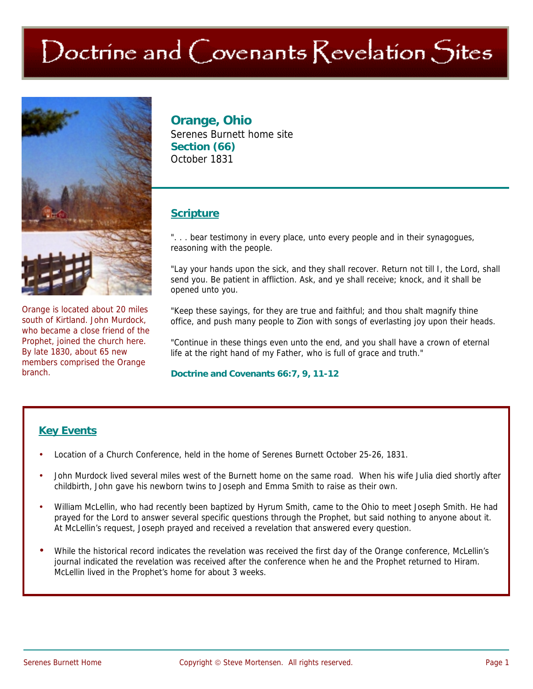# Doctrine and Covenants Revelation Sites



Orange is located about 20 miles south of Kirtland. John Murdock, who became a close friend of the Prophet, joined the church here. By late 1830, about 65 new members comprised the Orange branch.

# **Orange, Ohio**

Serenes Burnett home site **Section (66)**  October 1831

# **Scripture**

". . . bear testimony in every place, unto every people and in their synagogues, reasoning with the people.

"Lay your hands upon the sick, and they shall recover. Return not till I, the Lord, shall send you. Be patient in affliction. Ask, and ye shall receive; knock, and it shall be opened unto you.

"Keep these sayings, for they are true and faithful; and thou shalt magnify thine office, and push many people to Zion with songs of everlasting joy upon their heads.

"Continue in these things even unto the end, and you shall have a crown of eternal life at the right hand of my Father, who is full of grace and truth."

#### **Doctrine and Covenants 66:7, 9, 11-12**

## **Key Events**

- Location of a Church Conference, held in the home of Serenes Burnett October 25-26, 1831.
- John Murdock lived several miles west of the Burnett home on the same road. When his wife Julia died shortly after childbirth, John gave his newborn twins to Joseph and Emma Smith to raise as their own.
- William McLellin, who had recently been baptized by Hyrum Smith, came to the Ohio to meet Joseph Smith. He had prayed for the Lord to answer several specific questions through the Prophet, but said nothing to anyone about it. At McLellin's request, Joseph prayed and received a revelation that answered every question.
- While the historical record indicates the revelation was received the first day of the Orange conference, McLellin's journal indicated the revelation was received after the conference when he and the Prophet returned to Hiram. McLellin lived in the Prophet's home for about 3 weeks.